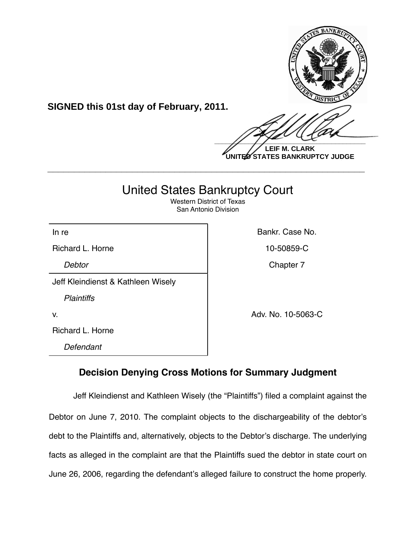

**SIGNED this 01st day of February, 2011.**

**LEIF M. CLARK UNITED STATES BANKRUPTCY JUDGE**

# United States Bankruptcy Court

**\_\_\_\_\_\_\_\_\_\_\_\_\_\_\_\_\_\_\_\_\_\_\_\_\_\_\_\_\_\_\_\_\_\_\_\_\_\_\_\_\_\_\_\_\_\_\_\_\_\_\_\_\_\_\_\_\_\_\_\_**

Western District of Texas San Antonio Division

Richard L. Horne 10-50859-C

Jeff Kleindienst & Kathleen Wisely

*Plaintiffs*

Richard L. Horne

*Defendant*

In re **Bankr.** Case No.

**Debtor** Chapter 7

v. Adv. No. 10-5063-C

# **Decision Denying Cross Motions for Summary Judgment**

Jeff Kleindienst and Kathleen Wisely (the "Plaintiffs") filed a complaint against the Debtor on June 7, 2010. The complaint objects to the dischargeability of the debtor's debt to the Plaintiffs and, alternatively, objects to the Debtor's discharge. The underlying facts as alleged in the complaint are that the Plaintiffs sued the debtor in state court on June 26, 2006, regarding the defendant's alleged failure to construct the home properly.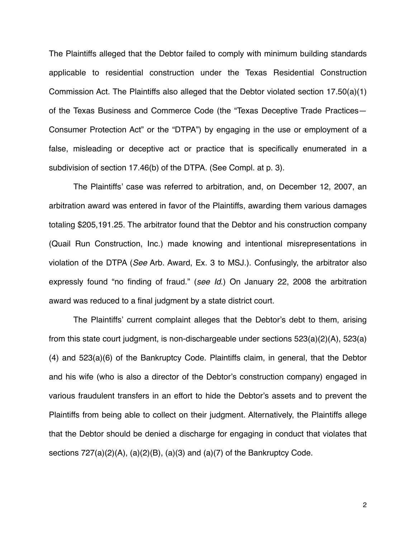The Plaintiffs alleged that the Debtor failed to comply with minimum building standards applicable to residential construction under the Texas Residential Construction Commission Act. The Plaintiffs also alleged that the Debtor violated section 17.50(a)(1) of the Texas Business and Commerce Code (the "Texas Deceptive Trade Practices— Consumer Protection Act" or the "DTPA") by engaging in the use or employment of a false, misleading or deceptive act or practice that is specifically enumerated in a subdivision of section 17.46(b) of the DTPA. (See Compl. at p. 3).

The Plaintiffs' case was referred to arbitration, and, on December 12, 2007, an arbitration award was entered in favor of the Plaintiffs, awarding them various damages totaling \$205,191.25. The arbitrator found that the Debtor and his construction company (Quail Run Construction, Inc.) made knowing and intentional misrepresentations in violation of the DTPA (*See* Arb. Award, Ex. 3 to MSJ.). Confusingly, the arbitrator also expressly found "no finding of fraud." (*see Id*.) On January 22, 2008 the arbitration award was reduced to a final judgment by a state district court.

The Plaintiffs' current complaint alleges that the Debtor's debt to them, arising from this state court judgment, is non-dischargeable under sections 523(a)(2)(A), 523(a) (4) and 523(a)(6) of the Bankruptcy Code. Plaintiffs claim, in general, that the Debtor and his wife (who is also a director of the Debtor's construction company) engaged in various fraudulent transfers in an effort to hide the Debtor's assets and to prevent the Plaintiffs from being able to collect on their judgment. Alternatively, the Plaintiffs allege that the Debtor should be denied a discharge for engaging in conduct that violates that sections  $727(a)(2)(A)$ ,  $(a)(2)(B)$ ,  $(a)(3)$  and  $(a)(7)$  of the Bankruptcy Code.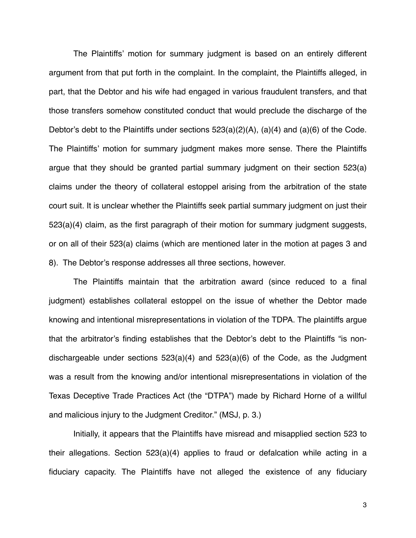The Plaintiffs' motion for summary judgment is based on an entirely different argument from that put forth in the complaint. In the complaint, the Plaintiffs alleged, in part, that the Debtor and his wife had engaged in various fraudulent transfers, and that those transfers somehow constituted conduct that would preclude the discharge of the Debtor's debt to the Plaintiffs under sections 523(a)(2)(A), (a)(4) and (a)(6) of the Code. The Plaintiffs' motion for summary judgment makes more sense. There the Plaintiffs argue that they should be granted partial summary judgment on their section 523(a) claims under the theory of collateral estoppel arising from the arbitration of the state court suit. It is unclear whether the Plaintiffs seek partial summary judgment on just their 523(a)(4) claim, as the first paragraph of their motion for summary judgment suggests, or on all of their 523(a) claims (which are mentioned later in the motion at pages 3 and 8). The Debtor's response addresses all three sections, however.

The Plaintiffs maintain that the arbitration award (since reduced to a final judgment) establishes collateral estoppel on the issue of whether the Debtor made knowing and intentional misrepresentations in violation of the TDPA. The plaintiffs argue that the arbitrator's finding establishes that the Debtor's debt to the Plaintiffs "is nondischargeable under sections 523(a)(4) and 523(a)(6) of the Code, as the Judgment was a result from the knowing and/or intentional misrepresentations in violation of the Texas Deceptive Trade Practices Act (the "DTPA") made by Richard Horne of a willful and malicious injury to the Judgment Creditor." (MSJ, p. 3.)

Initially, it appears that the Plaintiffs have misread and misapplied section 523 to their allegations. Section 523(a)(4) applies to fraud or defalcation while acting in a fiduciary capacity. The Plaintiffs have not alleged the existence of any fiduciary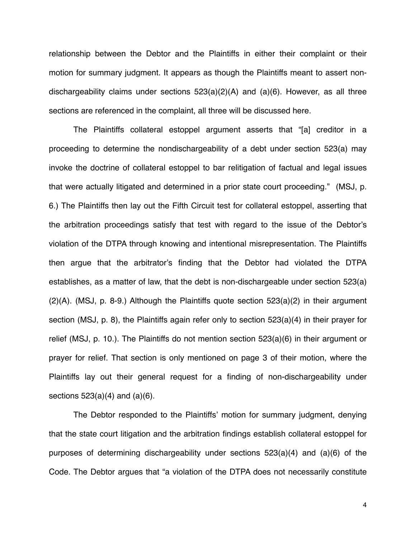relationship between the Debtor and the Plaintiffs in either their complaint or their motion for summary judgment. It appears as though the Plaintiffs meant to assert nondischargeability claims under sections 523(a)(2)(A) and (a)(6). However, as all three sections are referenced in the complaint, all three will be discussed here.

The Plaintiffs collateral estoppel argument asserts that "[a] creditor in a proceeding to determine the nondischargeability of a debt under section 523(a) may invoke the doctrine of collateral estoppel to bar relitigation of factual and legal issues that were actually litigated and determined in a prior state court proceeding." (MSJ, p. 6.) The Plaintiffs then lay out the Fifth Circuit test for collateral estoppel, asserting that the arbitration proceedings satisfy that test with regard to the issue of the Debtor's violation of the DTPA through knowing and intentional misrepresentation. The Plaintiffs then argue that the arbitrator's finding that the Debtor had violated the DTPA establishes, as a matter of law, that the debt is non-dischargeable under section 523(a)  $(2)(A)$ . (MSJ, p. 8-9.) Although the Plaintiffs quote section 523 $(a)(2)$  in their argument section (MSJ, p. 8), the Plaintiffs again refer only to section 523(a)(4) in their prayer for relief (MSJ, p. 10.). The Plaintiffs do not mention section 523(a)(6) in their argument or prayer for relief. That section is only mentioned on page 3 of their motion, where the Plaintiffs lay out their general request for a finding of non-dischargeability under sections  $523(a)(4)$  and  $(a)(6)$ .

The Debtor responded to the Plaintiffs' motion for summary judgment, denying that the state court litigation and the arbitration findings establish collateral estoppel for purposes of determining dischargeability under sections 523(a)(4) and (a)(6) of the Code. The Debtor argues that "a violation of the DTPA does not necessarily constitute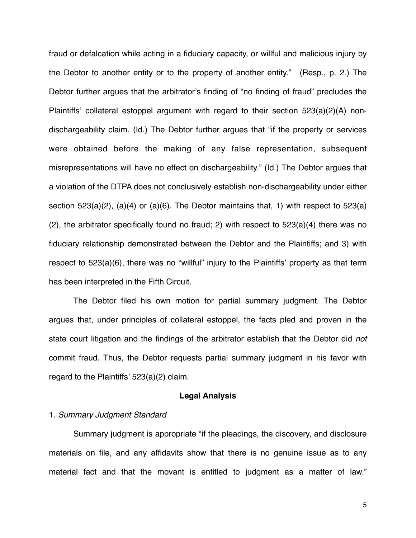fraud or defalcation while acting in a fiduciary capacity, or willful and malicious injury by the Debtor to another entity or to the property of another entity." (Resp., p. 2.) The Debtor further argues that the arbitrator's finding of "no finding of fraud" precludes the Plaintiffs' collateral estoppel argument with regard to their section 523(a)(2)(A) nondischargeability claim. (Id.) The Debtor further argues that "if the property or services were obtained before the making of any false representation, subsequent misrepresentations will have no effect on dischargeability." (Id.) The Debtor argues that a violation of the DTPA does not conclusively establish non-dischargeability under either section  $523(a)(2)$ ,  $(a)(4)$  or  $(a)(6)$ . The Debtor maintains that, 1) with respect to  $523(a)$ (2), the arbitrator specifically found no fraud; 2) with respect to 523(a)(4) there was no fiduciary relationship demonstrated between the Debtor and the Plaintiffs; and 3) with respect to 523(a)(6), there was no "willful" injury to the Plaintiffs' property as that term has been interpreted in the Fifth Circuit.

The Debtor filed his own motion for partial summary judgment. The Debtor argues that, under principles of collateral estoppel, the facts pled and proven in the state court litigation and the findings of the arbitrator establish that the Debtor did *not* commit fraud. Thus, the Debtor requests partial summary judgment in his favor with regard to the Plaintiffs' 523(a)(2) claim.

#### **Legal Analysis**

# 1. *Summary Judgment Standard*

Summary judgment is appropriate "if the pleadings, the discovery, and disclosure materials on file, and any affidavits show that there is no genuine issue as to any material fact and that the movant is entitled to judgment as a matter of law."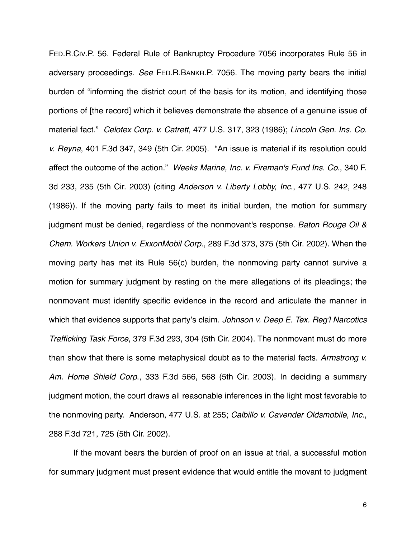FED.R.CIV.P. 56. Federal Rule of Bankruptcy Procedure 7056 incorporates Rule 56 in adversary proceedings. *See* FED.R.BANKR.P. 7056. The moving party bears the initial burden of "informing the district court of the basis for its motion, and identifying those portions of [the record] which it believes demonstrate the absence of a genuine issue of material fact." *Celotex Corp. v. Catrett*, 477 U.S. 317, 323 (1986); *Lincoln Gen. Ins. Co. v. Reyna*, 401 F.3d 347, 349 (5th Cir. 2005). "An issue is material if its resolution could affect the outcome of the action." *Weeks Marine, Inc. v. Fireman's Fund Ins. Co*., 340 F. 3d 233, 235 (5th Cir. 2003) (citing *Anderson v. Liberty Lobby, Inc*., 477 U.S. 242, 248 (1986)). If the moving party fails to meet its initial burden, the motion for summary judgment must be denied, regardless of the nonmovant's response. *Baton Rouge Oil & Chem. Workers Union v. ExxonMobil Corp*., 289 F.3d 373, 375 (5th Cir. 2002). When the moving party has met its Rule 56(c) burden, the nonmoving party cannot survive a motion for summary judgment by resting on the mere allegations of its pleadings; the nonmovant must identify specific evidence in the record and articulate the manner in which that evidence supports that party's claim. *Johnson v. Deep E. Tex. Reg'l Narcotics Trafficking Task Force*, 379 F.3d 293, 304 (5th Cir. 2004). The nonmovant must do more than show that there is some metaphysical doubt as to the material facts. *Armstrong v. Am. Home Shield Corp*., 333 F.3d 566, 568 (5th Cir. 2003). In deciding a summary judgment motion, the court draws all reasonable inferences in the light most favorable to the nonmoving party. Anderson, 477 U.S. at 255; *Calbillo v. Cavender Oldsmobile, Inc.*, 288 F.3d 721, 725 (5th Cir. 2002).

If the movant bears the burden of proof on an issue at trial, a successful motion for summary judgment must present evidence that would entitle the movant to judgment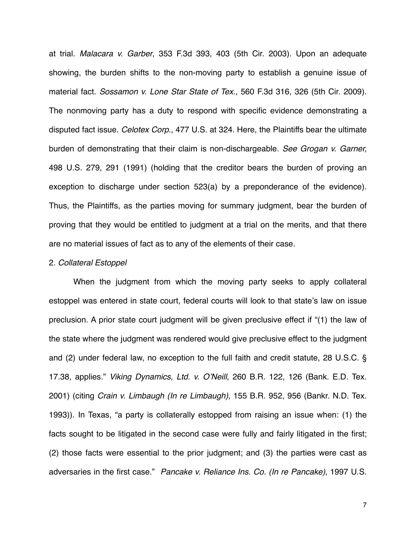at trial. *Malacara v. Garber*, 353 F.3d 393, 403 (5th Cir. 2003). Upon an adequate showing, the burden shifts to the non-moving party to establish a genuine issue of material fact. *Sossamon v. Lone Star State of Tex*., 560 F.3d 316, 326 (5th Cir. 2009). The nonmoving party has a duty to respond with specific evidence demonstrating a disputed fact issue. *Celotex Corp*., 477 U.S. at 324. Here, the Plaintiffs bear the ultimate burden of demonstrating that their claim is non-dischargeable. *See Grogan v. Garner,* 498 U.S. 279, 291 (1991) (holding that the creditor bears the burden of proving an exception to discharge under section 523(a) by a preponderance of the evidence). Thus, the Plaintiffs, as the parties moving for summary judgment, bear the burden of proving that they would be entitled to judgment at a trial on the merits, and that there are no material issues of fact as to any of the elements of their case.

# 2. *Collateral Estoppel*

When the judgment from which the moving party seeks to apply collateral estoppel was entered in state court, federal courts will look to that state's law on issue preclusion. A prior state court judgment will be given preclusive effect if "(1) the law of the state where the judgment was rendered would give preclusive effect to the judgment and (2) under federal law, no exception to the full faith and credit statute, 28 U.S.C. § 17.38, applies." *Viking Dynamics, Ltd. v. O*'*Neill*, 260 B.R. 122, 126 (Bank. E.D. Tex. 2001) (citing *Crain v. Limbaugh (In re Limbaugh)*, 155 B.R. 952, 956 (Bankr. N.D. Tex. 1993)). In Texas, "a party is collaterally estopped from raising an issue when: (1) the facts sought to be litigated in the second case were fully and fairly litigated in the first; (2) those facts were essential to the prior judgment; and (3) the parties were cast as adversaries in the first case." *Pancake v. Reliance Ins. Co. (In re Pancake)*, 1997 U.S.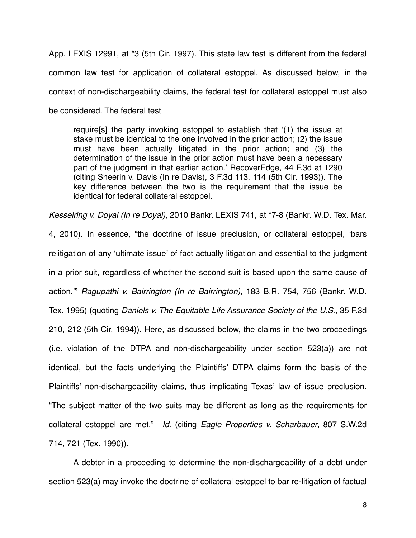App. LEXIS 12991, at \*3 (5th Cir. 1997). This state law test is different from the federal common law test for application of collateral estoppel. As discussed below, in the context of non-dischargeability claims, the federal test for collateral estoppel must also be considered. The federal test

require[s] the party invoking estoppel to establish that ʻ(1) the issue at stake must be identical to the one involved in the prior action; (2) the issue must have been actually litigated in the prior action; and (3) the determination of the issue in the prior action must have been a necessary part of the judgment in that earlier action.' RecoverEdge, 44 F.3d at 1290 (citing Sheerin v. Davis (In re Davis), 3 F.3d 113, 114 (5th Cir. 1993)). The key difference between the two is the requirement that the issue be identical for federal collateral estoppel.

4, 2010). In essence, "the doctrine of issue preclusion, or collateral estoppel, ʻbars relitigation of any ʻultimate issue' of fact actually litigation and essential to the judgment in a prior suit, regardless of whether the second suit is based upon the same cause of action.'" *Ragupathi v. Bairrington (In re Bairrington)*, 183 B.R. 754, 756 (Bankr. W.D.

*Kesselring v. Doyal (In re Doyal)*, 2010 Bankr. LEXIS 741, at \*7-8 (Bankr. W.D. Tex. Mar.

Tex. 1995) (quoting *Daniels v. The Equitable Life Assurance Society of the U.S*., 35 F.3d 210, 212 (5th Cir. 1994)). Here, as discussed below, the claims in the two proceedings (i.e. violation of the DTPA and non-dischargeability under section 523(a)) are not identical, but the facts underlying the Plaintiffs' DTPA claims form the basis of the Plaintiffs' non-dischargeability claims, thus implicating Texas' law of issue preclusion. "The subject matter of the two suits may be different as long as the requirements for collateral estoppel are met." *Id*. (citing *Eagle Properties v. Scharbauer*, 807 S.W.2d 714, 721 (Tex. 1990)).

A debtor in a proceeding to determine the non-dischargeability of a debt under section 523(a) may invoke the doctrine of collateral estoppel to bar re-litigation of factual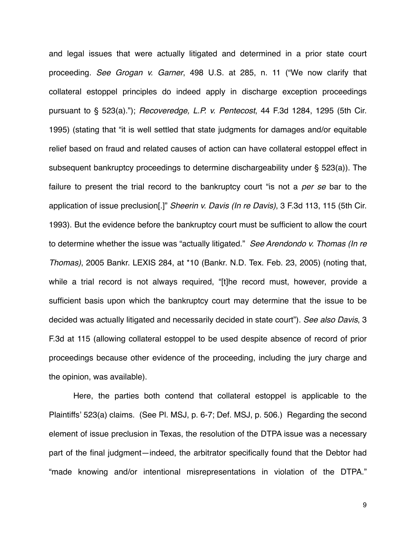and legal issues that were actually litigated and determined in a prior state court proceeding. *See Grogan v. Garner*, 498 U.S. at 285, n. 11 ("We now clarify that collateral estoppel principles do indeed apply in discharge exception proceedings pursuant to § 523(a)."); *Recoveredge, L.P. v. Pentecost*, 44 F.3d 1284, 1295 (5th Cir. 1995) (stating that "it is well settled that state judgments for damages and/or equitable relief based on fraud and related causes of action can have collateral estoppel effect in subsequent bankruptcy proceedings to determine dischargeability under § 523(a)). The failure to present the trial record to the bankruptcy court "is not a *per se* bar to the application of issue preclusion[.]" *Sheerin v. Davis (In re Davis)*, 3 F.3d 113, 115 (5th Cir. 1993). But the evidence before the bankruptcy court must be sufficient to allow the court to determine whether the issue was "actually litigated." *See Arendondo v. Thomas (In re Thomas)*, 2005 Bankr. LEXIS 284, at \*10 (Bankr. N.D. Tex. Feb. 23, 2005) (noting that, while a trial record is not always required, "[t]he record must, however, provide a sufficient basis upon which the bankruptcy court may determine that the issue to be decided was actually litigated and necessarily decided in state court"). *See also Davis*, 3 F.3d at 115 (allowing collateral estoppel to be used despite absence of record of prior proceedings because other evidence of the proceeding, including the jury charge and the opinion, was available).

Here, the parties both contend that collateral estoppel is applicable to the Plaintiffs' 523(a) claims. (See Pl. MSJ, p. 6-7; Def. MSJ, p. 506.) Regarding the second element of issue preclusion in Texas, the resolution of the DTPA issue was a necessary part of the final judgment—indeed, the arbitrator specifically found that the Debtor had "made knowing and/or intentional misrepresentations in violation of the DTPA."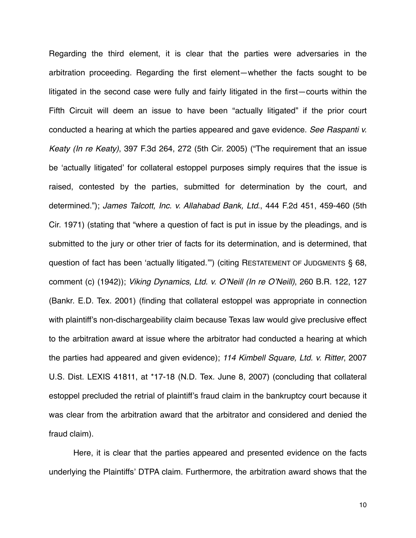Regarding the third element, it is clear that the parties were adversaries in the arbitration proceeding. Regarding the first element—whether the facts sought to be litigated in the second case were fully and fairly litigated in the first—courts within the Fifth Circuit will deem an issue to have been "actually litigated" if the prior court conducted a hearing at which the parties appeared and gave evidence. *See Raspanti v. Keaty (In re Keaty)*, 397 F.3d 264, 272 (5th Cir. 2005) ("The requirement that an issue be ʻactually litigated' for collateral estoppel purposes simply requires that the issue is raised, contested by the parties, submitted for determination by the court, and determined."); *James Talcott, Inc. v. Allahabad Bank, Ltd*., 444 F.2d 451, 459-460 (5th Cir. 1971) (stating that "where a question of fact is put in issue by the pleadings, and is submitted to the jury or other trier of facts for its determination, and is determined, that question of fact has been ʻactually litigated.'") (citing RESTATEMENT OF JUDGMENTS § 68, comment (c) (1942)); *Viking Dynamics, Ltd. v. O*'*Neill (In re O*'*Neill)*, 260 B.R. 122, 127 (Bankr. E.D. Tex. 2001) (finding that collateral estoppel was appropriate in connection with plaintiff's non-dischargeability claim because Texas law would give preclusive effect to the arbitration award at issue where the arbitrator had conducted a hearing at which the parties had appeared and given evidence); *114 Kimbell Square, Ltd. v. Ritter*, 2007 U.S. Dist. LEXIS 41811, at \*17-18 (N.D. Tex. June 8, 2007) (concluding that collateral estoppel precluded the retrial of plaintiff's fraud claim in the bankruptcy court because it was clear from the arbitration award that the arbitrator and considered and denied the fraud claim).

Here, it is clear that the parties appeared and presented evidence on the facts underlying the Plaintiffs' DTPA claim. Furthermore, the arbitration award shows that the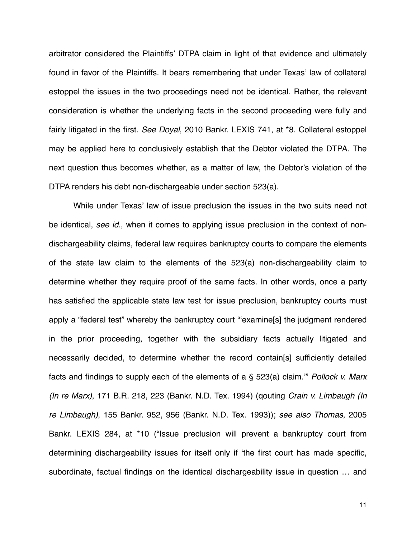arbitrator considered the Plaintiffs' DTPA claim in light of that evidence and ultimately found in favor of the Plaintiffs. It bears remembering that under Texas' law of collateral estoppel the issues in the two proceedings need not be identical. Rather, the relevant consideration is whether the underlying facts in the second proceeding were fully and fairly litigated in the first. *See Doyal*, 2010 Bankr. LEXIS 741, at \*8. Collateral estoppel may be applied here to conclusively establish that the Debtor violated the DTPA. The next question thus becomes whether, as a matter of law, the Debtor's violation of the DTPA renders his debt non-dischargeable under section 523(a).

While under Texas' law of issue preclusion the issues in the two suits need not be identical, *see id*., when it comes to applying issue preclusion in the context of nondischargeability claims, federal law requires bankruptcy courts to compare the elements of the state law claim to the elements of the 523(a) non-dischargeability claim to determine whether they require proof of the same facts. In other words, once a party has satisfied the applicable state law test for issue preclusion, bankruptcy courts must apply a "federal test" whereby the bankruptcy court "ʻexamine[s] the judgment rendered in the prior proceeding, together with the subsidiary facts actually litigated and necessarily decided, to determine whether the record contain[s] sufficiently detailed facts and findings to supply each of the elements of a § 523(a) claim.'" *Pollock v. Marx (In re Marx)*, 171 B.R. 218, 223 (Bankr. N.D. Tex. 1994) (qouting *Crain v. Limbaugh (In re Limbaugh)*, 155 Bankr. 952, 956 (Bankr. N.D. Tex. 1993)); *see also Thomas*, 2005 Bankr. LEXIS 284, at \*10 ("Issue preclusion will prevent a bankruptcy court from determining dischargeability issues for itself only if ʻthe first court has made specific, subordinate, factual findings on the identical dischargeability issue in question … and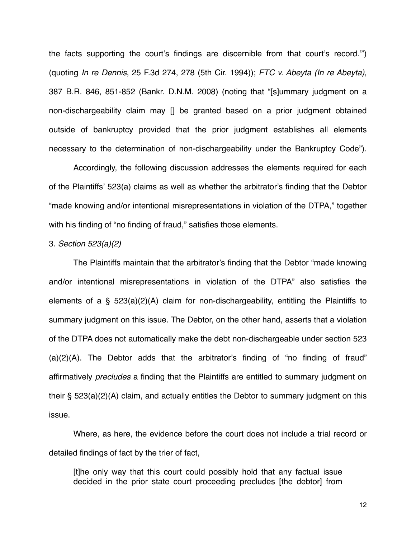the facts supporting the court's findings are discernible from that court's record.'") (quoting *In re Dennis*, 25 F.3d 274, 278 (5th Cir. 1994)); *FTC v. Abeyta (In re Abeyta)*, 387 B.R. 846, 851-852 (Bankr. D.N.M. 2008) (noting that "[s]ummary judgment on a non-dischargeability claim may [] be granted based on a prior judgment obtained outside of bankruptcy provided that the prior judgment establishes all elements necessary to the determination of non-dischargeability under the Bankruptcy Code").

Accordingly, the following discussion addresses the elements required for each of the Plaintiffs' 523(a) claims as well as whether the arbitrator's finding that the Debtor "made knowing and/or intentional misrepresentations in violation of the DTPA," together with his finding of "no finding of fraud," satisfies those elements.

## 3. *Section 523(a)(2)*

The Plaintiffs maintain that the arbitrator's finding that the Debtor "made knowing and/or intentional misrepresentations in violation of the DTPA" also satisfies the elements of a §  $523(a)(2)(A)$  claim for non-dischargeability, entitling the Plaintiffs to summary judgment on this issue. The Debtor, on the other hand, asserts that a violation of the DTPA does not automatically make the debt non-dischargeable under section 523 (a)(2)(A). The Debtor adds that the arbitrator's finding of "no finding of fraud" affirmatively *precludes* a finding that the Plaintiffs are entitled to summary judgment on their § 523(a)(2)(A) claim, and actually entitles the Debtor to summary judgment on this issue.

Where, as here, the evidence before the court does not include a trial record or detailed findings of fact by the trier of fact,

[t]he only way that this court could possibly hold that any factual issue decided in the prior state court proceeding precludes [the debtor] from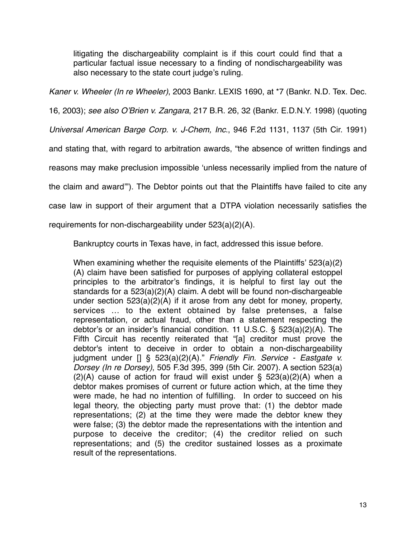litigating the dischargeability complaint is if this court could find that a particular factual issue necessary to a finding of nondischargeability was also necessary to the state court judge's ruling.

*Kaner v. Wheeler (In re Wheeler)*, 2003 Bankr. LEXIS 1690, at \*7 (Bankr. N.D. Tex. Dec.

16, 2003); *see also O*'*Brien v. Zangara*, 217 B.R. 26, 32 (Bankr. E.D.N.Y. 1998) (quoting

*Universal American Barge Corp. v. J-Chem, Inc*., 946 F.2d 1131, 1137 (5th Cir. 1991)

and stating that, with regard to arbitration awards, "the absence of written findings and

reasons may make preclusion impossible ʻunless necessarily implied from the nature of

the claim and award'"). The Debtor points out that the Plaintiffs have failed to cite any

case law in support of their argument that a DTPA violation necessarily satisfies the

requirements for non-dischargeability under 523(a)(2)(A).

Bankruptcy courts in Texas have, in fact, addressed this issue before.

When examining whether the requisite elements of the Plaintiffs' 523(a)(2) (A) claim have been satisfied for purposes of applying collateral estoppel principles to the arbitrator's findings, it is helpful to first lay out the standards for a 523(a)(2)(A) claim. A debt will be found non-dischargeable under section 523(a)(2)(A) if it arose from any debt for money, property, services … to the extent obtained by false pretenses, a false representation, or actual fraud, other than a statement respecting the debtor's or an insider's financial condition. 11 U.S.C. § 523(a)(2)(A). The Fifth Circuit has recently reiterated that "[a] creditor must prove the debtor's intent to deceive in order to obtain a non-dischargeability judgment under [] § 523(a)(2)(A)." *Friendly Fin. Service - Eastgate v. Dorsey (In re Dorsey)*, 505 F.3d 395, 399 (5th Cir. 2007). A section 523(a)  $(2)(A)$  cause of action for fraud will exist under § 523(a)(2)(A) when a debtor makes promises of current or future action which, at the time they were made, he had no intention of fulfilling. In order to succeed on his legal theory, the objecting party must prove that: (1) the debtor made representations; (2) at the time they were made the debtor knew they were false; (3) the debtor made the representations with the intention and purpose to deceive the creditor; (4) the creditor relied on such representations; and (5) the creditor sustained losses as a proximate result of the representations.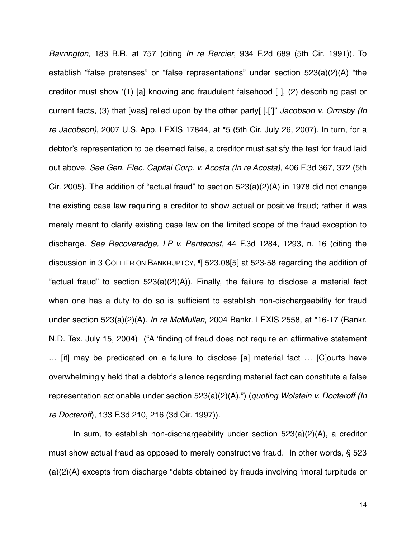*Bairrington*, 183 B.R. at 757 (citing *In re Bercier*, 934 F.2d 689 (5th Cir. 1991)). To establish "false pretenses" or "false representations" under section 523(a)(2)(A) "the creditor must show ʻ(1) [a] knowing and fraudulent falsehood [ ], (2) describing past or current facts, (3) that [was] relied upon by the other party[ ].[']" *Jacobson v. Ormsby (In re Jacobson)*, 2007 U.S. App. LEXIS 17844, at \*5 (5th Cir. July 26, 2007). In turn, for a debtor's representation to be deemed false, a creditor must satisfy the test for fraud laid out above. *See Gen. Elec. Capital Corp. v. Acosta (In re Acosta)*, 406 F.3d 367, 372 (5th Cir. 2005). The addition of "actual fraud" to section 523(a)(2)(A) in 1978 did not change the existing case law requiring a creditor to show actual or positive fraud; rather it was merely meant to clarify existing case law on the limited scope of the fraud exception to discharge. *See Recoveredge, LP v. Pentecost*, 44 F.3d 1284, 1293, n. 16 (citing the discussion in 3 COLLIER ON BANKRUPTCY, ¶ 523.08[5] at 523-58 regarding the addition of "actual fraud" to section  $523(a)(2)(A)$ ). Finally, the failure to disclose a material fact when one has a duty to do so is sufficient to establish non-dischargeability for fraud under section 523(a)(2)(A). *In re McMullen*, 2004 Bankr. LEXIS 2558, at \*16-17 (Bankr. N.D. Tex. July 15, 2004) ("A ʻfinding of fraud does not require an affirmative statement … [it] may be predicated on a failure to disclose [a] material fact … [C]ourts have overwhelmingly held that a debtor's silence regarding material fact can constitute a false representation actionable under section 523(a)(2)(A).") (*quoting Wolstein v. Docteroff (In re Docteroff*), 133 F.3d 210, 216 (3d Cir. 1997)).

In sum, to establish non-dischargeability under section 523(a)(2)(A), a creditor must show actual fraud as opposed to merely constructive fraud. In other words, § 523 (a)(2)(A) excepts from discharge "debts obtained by frauds involving ʻmoral turpitude or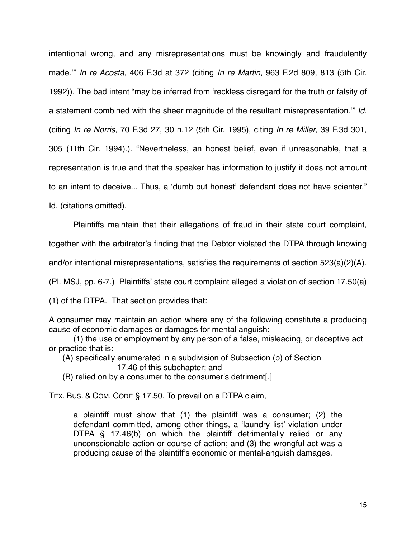intentional wrong, and any misrepresentations must be knowingly and fraudulently made.'" *In re Acosta*, 406 F.3d at 372 (citing *In re Martin*, 963 F.2d 809, 813 (5th Cir. 1992)). The bad intent "may be inferred from ʻreckless disregard for the truth or falsity of a statement combined with the sheer magnitude of the resultant misrepresentation.'" *Id*. (citing *In re Norris*, 70 F.3d 27, 30 n.12 (5th Cir. 1995), citing *In re Miller*, 39 F.3d 301, 305 (11th Cir. 1994).). "Nevertheless, an honest belief, even if unreasonable, that a representation is true and that the speaker has information to justify it does not amount to an intent to deceive... Thus, a ʻdumb but honest' defendant does not have scienter."

Id. (citations omitted).

Plaintiffs maintain that their allegations of fraud in their state court complaint, together with the arbitrator's finding that the Debtor violated the DTPA through knowing and/or intentional misrepresentations, satisfies the requirements of section 523(a)(2)(A).

(Pl. MSJ, pp. 6-7.) Plaintiffs' state court complaint alleged a violation of section 17.50(a)

(1) of the DTPA. That section provides that:

A consumer may maintain an action where any of the following constitute a producing cause of economic damages or damages for mental anguish:

 ! (1) the use or employment by any person of a false, misleading, or deceptive act or practice that is:

(A) specifically enumerated in a subdivision of Subsection (b) of Section

17.46 of this subchapter; and

(B) relied on by a consumer to the consumer's detriment[.]

TEX. BUS. & COM. CODE § 17.50. To prevail on a DTPA claim,

a plaintiff must show that (1) the plaintiff was a consumer; (2) the defendant committed, among other things, a ʻlaundry list' violation under DTPA § 17.46(b) on which the plaintiff detrimentally relied or any unconscionable action or course of action; and (3) the wrongful act was a producing cause of the plaintiff's economic or mental-anguish damages.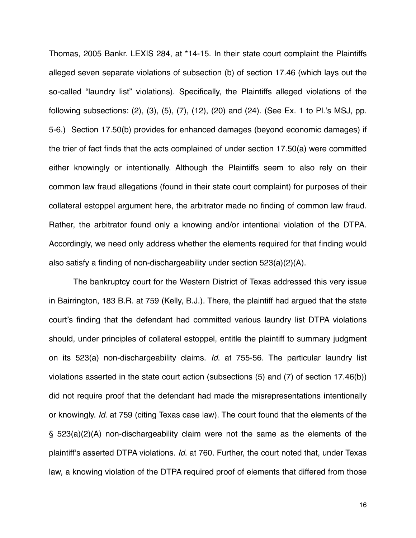Thomas, 2005 Bankr. LEXIS 284, at \*14-15. In their state court complaint the Plaintiffs alleged seven separate violations of subsection (b) of section 17.46 (which lays out the so-called "laundry list" violations). Specifically, the Plaintiffs alleged violations of the following subsections: (2), (3), (5), (7), (12), (20) and (24). (See Ex. 1 to Pl.'s MSJ, pp. 5-6.) Section 17.50(b) provides for enhanced damages (beyond economic damages) if the trier of fact finds that the acts complained of under section 17.50(a) were committed either knowingly or intentionally. Although the Plaintiffs seem to also rely on their common law fraud allegations (found in their state court complaint) for purposes of their collateral estoppel argument here, the arbitrator made no finding of common law fraud. Rather, the arbitrator found only a knowing and/or intentional violation of the DTPA. Accordingly, we need only address whether the elements required for that finding would also satisfy a finding of non-dischargeability under section 523(a)(2)(A).

The bankruptcy court for the Western District of Texas addressed this very issue in Bairrington, 183 B.R. at 759 (Kelly, B.J.). There, the plaintiff had argued that the state court's finding that the defendant had committed various laundry list DTPA violations should, under principles of collateral estoppel, entitle the plaintiff to summary judgment on its 523(a) non-dischargeability claims. *Id*. at 755-56. The particular laundry list violations asserted in the state court action (subsections (5) and (7) of section 17.46(b)) did not require proof that the defendant had made the misrepresentations intentionally or knowingly. *Id*. at 759 (citing Texas case law). The court found that the elements of the § 523(a)(2)(A) non-dischargeability claim were not the same as the elements of the plaintiff's asserted DTPA violations. *Id*. at 760. Further, the court noted that, under Texas law, a knowing violation of the DTPA required proof of elements that differed from those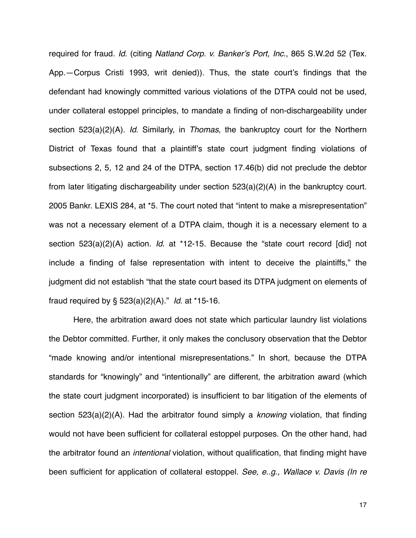required for fraud. *Id*. (citing *Natland Corp. v. Banker*'*s Port, Inc*., 865 S.W.2d 52 (Tex. App.—Corpus Cristi 1993, writ denied)). Thus, the state court's findings that the defendant had knowingly committed various violations of the DTPA could not be used, under collateral estoppel principles, to mandate a finding of non-dischargeability under section 523(a)(2)(A). *Id*. Similarly, in *Thomas*, the bankruptcy court for the Northern District of Texas found that a plaintiff's state court judgment finding violations of subsections 2, 5, 12 and 24 of the DTPA, section 17.46(b) did not preclude the debtor from later litigating dischargeability under section 523(a)(2)(A) in the bankruptcy court. 2005 Bankr. LEXIS 284, at \*5. The court noted that "intent to make a misrepresentation" was not a necessary element of a DTPA claim, though it is a necessary element to a section 523(a)(2)(A) action. *Id*. at \*12-15. Because the "state court record [did] not include a finding of false representation with intent to deceive the plaintiffs," the judgment did not establish "that the state court based its DTPA judgment on elements of fraud required by § 523(a)(2)(A)." *Id*. at \*15-16.

Here, the arbitration award does not state which particular laundry list violations the Debtor committed. Further, it only makes the conclusory observation that the Debtor "made knowing and/or intentional misrepresentations." In short, because the DTPA standards for "knowingly" and "intentionally" are different, the arbitration award (which the state court judgment incorporated) is insufficient to bar litigation of the elements of section 523(a)(2)(A). Had the arbitrator found simply a *knowing* violation, that finding would not have been sufficient for collateral estoppel purposes. On the other hand, had the arbitrator found an *intentional* violation, without qualification, that finding might have been sufficient for application of collateral estoppel. *See, e..g., Wallace v. Davis (In re*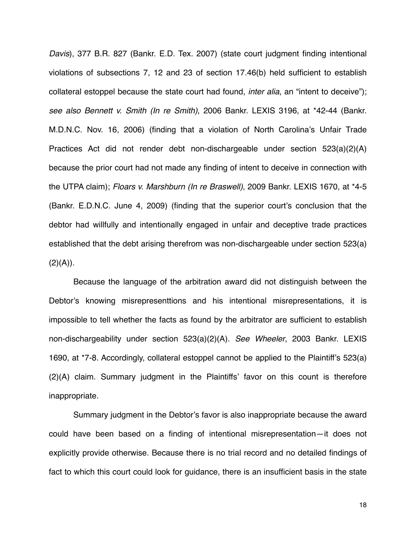*Davis*), 377 B.R. 827 (Bankr. E.D. Tex. 2007) (state court judgment finding intentional violations of subsections 7, 12 and 23 of section 17.46(b) held sufficient to establish collateral estoppel because the state court had found, *inter alia*, an "intent to deceive"); *see also Bennett v. Smith (In re Smith)*, 2006 Bankr. LEXIS 3196, at \*42-44 (Bankr. M.D.N.C. Nov. 16, 2006) (finding that a violation of North Carolina's Unfair Trade Practices Act did not render debt non-dischargeable under section 523(a)(2)(A) because the prior court had not made any finding of intent to deceive in connection with the UTPA claim); *Floars v. Marshburn (In re Braswell)*, 2009 Bankr. LEXIS 1670, at \*4-5 (Bankr. E.D.N.C. June 4, 2009) (finding that the superior court's conclusion that the debtor had willfully and intentionally engaged in unfair and deceptive trade practices established that the debt arising therefrom was non-dischargeable under section 523(a)  $(2)(A)$ ).

Because the language of the arbitration award did not distinguish between the Debtor's knowing misrepresenttions and his intentional misrepresentations, it is impossible to tell whether the facts as found by the arbitrator are sufficient to establish non-dischargeability under section 523(a)(2)(A). *See Wheeler*, 2003 Bankr. LEXIS 1690, at \*7-8. Accordingly, collateral estoppel cannot be applied to the Plaintiff's 523(a) (2)(A) claim. Summary judgment in the Plaintiffs' favor on this count is therefore inappropriate.

Summary judgment in the Debtor's favor is also inappropriate because the award could have been based on a finding of intentional misrepresentation—it does not explicitly provide otherwise. Because there is no trial record and no detailed findings of fact to which this court could look for guidance, there is an insufficient basis in the state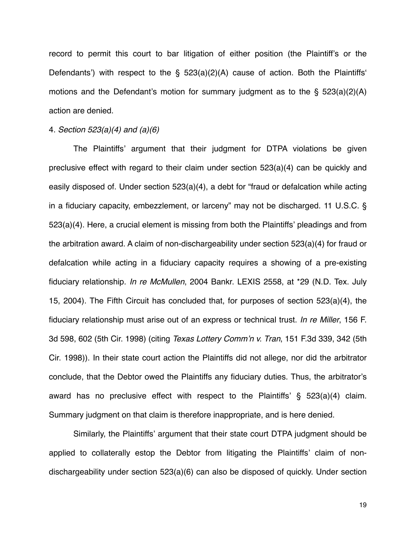record to permit this court to bar litigation of either position (the Plaintiff's or the Defendants') with respect to the § 523(a)(2)(A) cause of action. Both the Plaintiffs' motions and the Defendant's motion for summary judgment as to the § 523(a)(2)(A) action are denied.

## 4. *Section 523(a)(4) and (a)(6)*

The Plaintiffs' argument that their judgment for DTPA violations be given preclusive effect with regard to their claim under section 523(a)(4) can be quickly and easily disposed of. Under section 523(a)(4), a debt for "fraud or defalcation while acting in a fiduciary capacity, embezzlement, or larceny" may not be discharged. 11 U.S.C. § 523(a)(4). Here, a crucial element is missing from both the Plaintiffs' pleadings and from the arbitration award. A claim of non-dischargeability under section 523(a)(4) for fraud or defalcation while acting in a fiduciary capacity requires a showing of a pre-existing fiduciary relationship. *In re McMullen*, 2004 Bankr. LEXIS 2558, at \*29 (N.D. Tex. July 15, 2004). The Fifth Circuit has concluded that, for purposes of section 523(a)(4), the fiduciary relationship must arise out of an express or technical trust. *In re Miller*, 156 F. 3d 598, 602 (5th Cir. 1998) (citing *Texas Lottery Comm*'*n v. Tran*, 151 F.3d 339, 342 (5th Cir. 1998)). In their state court action the Plaintiffs did not allege, nor did the arbitrator conclude, that the Debtor owed the Plaintiffs any fiduciary duties. Thus, the arbitrator's award has no preclusive effect with respect to the Plaintiffs' § 523(a)(4) claim. Summary judgment on that claim is therefore inappropriate, and is here denied.

Similarly, the Plaintiffs' argument that their state court DTPA judgment should be applied to collaterally estop the Debtor from litigating the Plaintiffs' claim of nondischargeability under section 523(a)(6) can also be disposed of quickly. Under section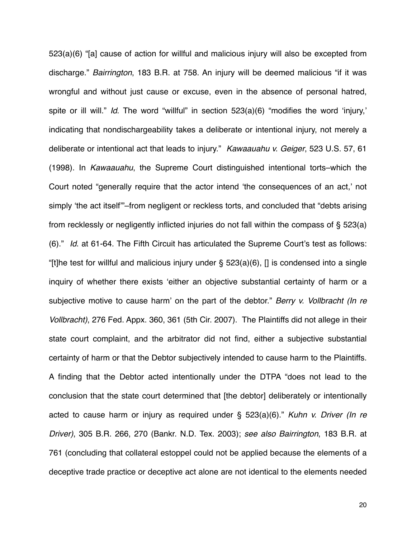523(a)(6) "[a] cause of action for willful and malicious injury will also be excepted from discharge." *Bairrington*, 183 B.R. at 758. An injury will be deemed malicious "if it was wrongful and without just cause or excuse, even in the absence of personal hatred, spite or ill will." *Id*. The word "willful" in section 523(a)(6) "modifies the word ʻinjury,' indicating that nondischargeability takes a deliberate or intentional injury, not merely a deliberate or intentional act that leads to injury." *Kawaauahu v. Geiger*, 523 U.S. 57, 61 (1998). In *Kawaauahu*, the Supreme Court distinguished intentional torts–which the Court noted "generally require that the actor intend ʻthe consequences of an act,' not simply ʻthe act itself'"–from negligent or reckless torts, and concluded that "debts arising from recklessly or negligently inflicted injuries do not fall within the compass of § 523(a) (6)." *Id*. at 61-64. The Fifth Circuit has articulated the Supreme Court's test as follows: "[t]he test for willful and malicious injury under  $\S$  523(a)(6), [] is condensed into a single inquiry of whether there exists ʻeither an objective substantial certainty of harm or a subjective motive to cause harm' on the part of the debtor." *Berry v. Vollbracht (In re Vollbracht)*, 276 Fed. Appx. 360, 361 (5th Cir. 2007). The Plaintiffs did not allege in their state court complaint, and the arbitrator did not find, either a subjective substantial certainty of harm or that the Debtor subjectively intended to cause harm to the Plaintiffs. A finding that the Debtor acted intentionally under the DTPA "does not lead to the conclusion that the state court determined that [the debtor] deliberately or intentionally acted to cause harm or injury as required under § 523(a)(6)." *Kuhn v. Driver (In re Driver)*, 305 B.R. 266, 270 (Bankr. N.D. Tex. 2003); *see also Bairrington*, 183 B.R. at 761 (concluding that collateral estoppel could not be applied because the elements of a deceptive trade practice or deceptive act alone are not identical to the elements needed